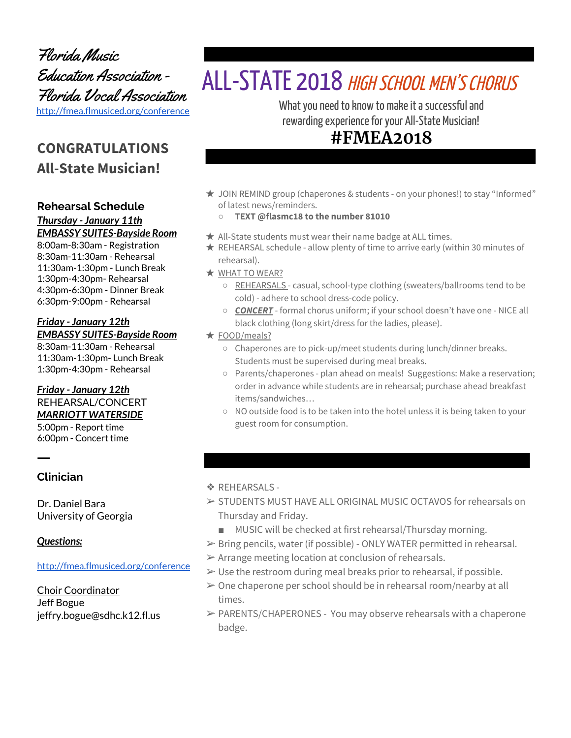Florida Music Education Association - Florida Vocal Association <http://fmea.flmusiced.org/conference>

# **CONGRATULATIONS All-State Musician!**

### **Rehearsal Schedule**

*Thursday - January 11th EMBASSY SUITES-Bayside Room*

8:00am-8:30am - Registration 8:30am-11:30am - Rehearsal 11:30am-1:30pm - Lunch Break 1:30pm-4:30pm- Rehearsal 4:30pm-6:30pm - Dinner Break 6:30pm-9:00pm - Rehearsal

#### *Friday - January 12th EMBASSY SUITES-Bayside Room*

8:30am-11:30am - Rehearsal 11:30am-1:30pm- Lunch Break 1:30pm-4:30pm - Rehearsal

### *Friday - January 12th* REHEARSAL/CONCERT *MARRIOTT WATERSIDE*

5:00pm - Report time 6:00pm - Concert time

ㅡ **Clinician**

Dr. Daniel Bara University of Georgia

### *Questions:*

#### <http://fmea.flmusiced.org/conference>

Choir Coordinator Jeff Bogue jeffry.bogue@sdhc.k12.fl.us

# ALL-STATE 2018 HIGH SCHOOL MEN'S CHORUS

What you need to know to make it a successful and rewarding experience for your All-State Musician!

# **#FMEA2018**

- ★ JOIN REMIND group (chaperones & students on your phones!) to stay "Informed" of latest news/reminders.
	- **○ TEXT @flasmc18 to the number 81010**
- $\star$  All-State students must wear their name badge at ALL times.
- $\star$  REHEARSAL schedule allow plenty of time to arrive early (within 30 minutes of rehearsal).
- ★ WHAT TO WEAR?
	- REHEARSALS casual, school-type clothing (sweaters/ballrooms tend to be cold) - adhere to school dress-code policy.
	- *CONCERT* formal chorus uniform; if your school doesn't have one NICE all black clothing (long skirt/dress for the ladies, please).
- ★ FOOD/meals?
	- Chaperones are to pick-up/meet students during lunch/dinner breaks. Students must be supervised during meal breaks.
	- Parents/chaperones plan ahead on meals! Suggestions: Make a reservation; order in advance while students are in rehearsal; purchase ahead breakfast items/sandwiches…
	- NO outside food is to be taken into the hotel unless it is being taken to your guest room for consumption.

### ❖ REHEARSALS -

- ➢ STUDENTS MUST HAVE ALL ORIGINAL MUSIC OCTAVOS for rehearsals on Thursday and Friday.
	- MUSIC will be checked at first rehearsal/Thursday morning.
- ➢ Bring pencils, water (if possible) ONLY WATER permitted in rehearsal.
- $\triangleright$  Arrange meeting location at conclusion of rehearsals.
- $\triangleright$  Use the restroom during meal breaks prior to rehearsal, if possible.
- $\geq 0$ ne chaperone per school should be in rehearsal room/nearby at all times.
- $\triangleright$  PARENTS/CHAPERONES You may observe rehearsals with a chaperone badge.